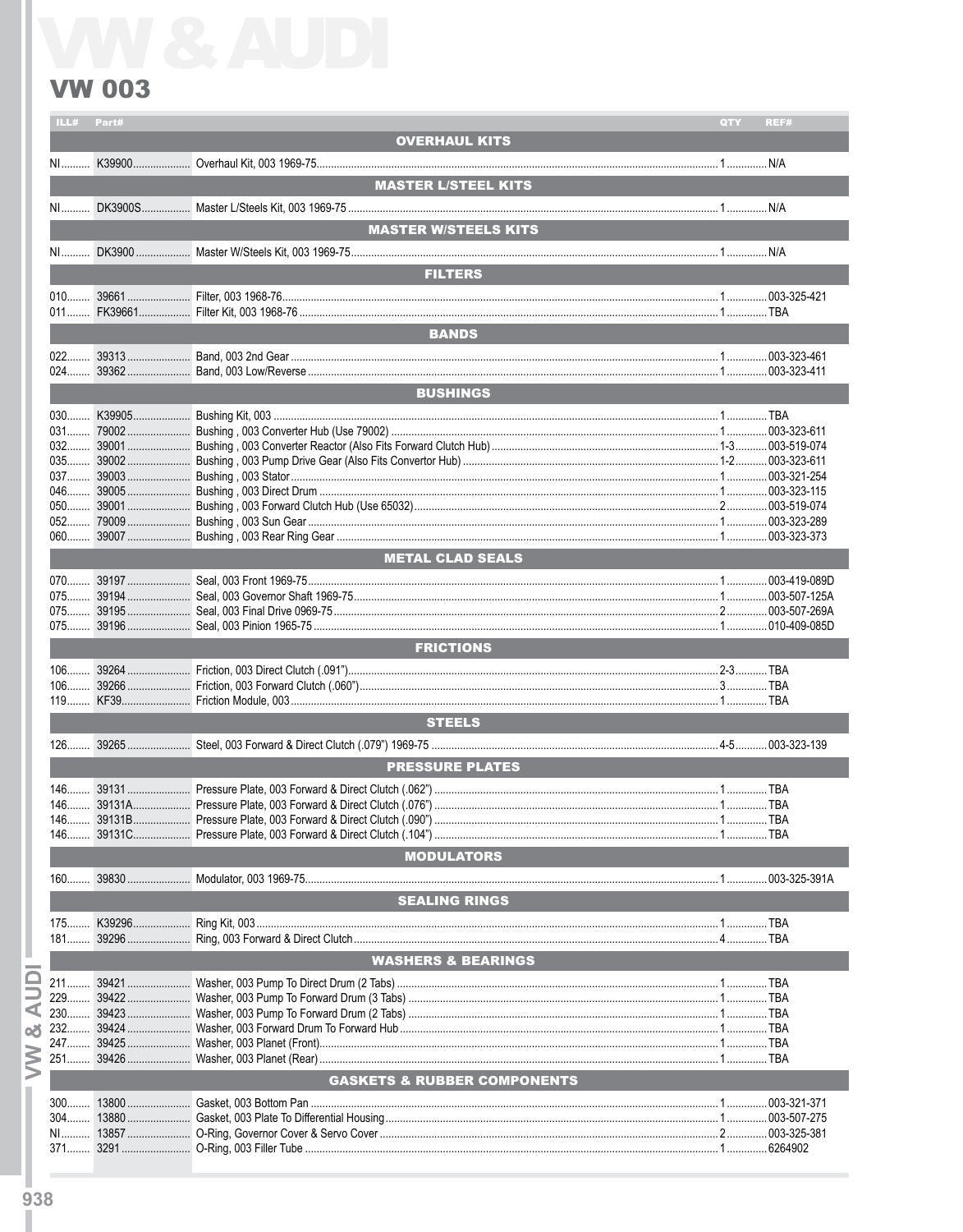## **VW 003**

| ILL# Part# |                                                                                                                                                              | QTY | REF#         |
|------------|--------------------------------------------------------------------------------------------------------------------------------------------------------------|-----|--------------|
|            | <b>OVERHAUL KITS</b>                                                                                                                                         |     |              |
|            |                                                                                                                                                              |     |              |
|            | <b>MASTER L/STEEL KITS</b>                                                                                                                                   |     |              |
|            |                                                                                                                                                              |     |              |
|            |                                                                                                                                                              |     |              |
|            | <b>MASTER W/STEELS KITS</b>                                                                                                                                  |     |              |
|            |                                                                                                                                                              |     |              |
|            | <b>FILTERS Exercise State State</b><br><b>Contract Contract Contract Contract Contract Contract Contract Contract Contract Contract Contract Contract Co</b> |     |              |
|            |                                                                                                                                                              |     |              |
|            |                                                                                                                                                              |     |              |
|            |                                                                                                                                                              |     |              |
|            | <b>BANDS</b>                                                                                                                                                 |     |              |
|            |                                                                                                                                                              |     |              |
|            |                                                                                                                                                              |     |              |
|            | <b>BUSHINGS</b>                                                                                                                                              |     |              |
|            |                                                                                                                                                              |     |              |
|            |                                                                                                                                                              |     |              |
|            |                                                                                                                                                              |     |              |
|            |                                                                                                                                                              |     |              |
|            |                                                                                                                                                              |     |              |
|            |                                                                                                                                                              |     |              |
|            |                                                                                                                                                              |     |              |
|            |                                                                                                                                                              |     |              |
|            |                                                                                                                                                              |     |              |
|            | <b>METAL CLAD SEALS</b>                                                                                                                                      |     |              |
|            |                                                                                                                                                              |     |              |
|            |                                                                                                                                                              |     |              |
|            |                                                                                                                                                              |     |              |
|            |                                                                                                                                                              |     |              |
|            | <b>FRICTIONS</b>                                                                                                                                             |     |              |
|            |                                                                                                                                                              |     |              |
|            |                                                                                                                                                              |     |              |
|            |                                                                                                                                                              |     |              |
|            |                                                                                                                                                              |     |              |
|            | <b>STEELS</b>                                                                                                                                                |     |              |
|            |                                                                                                                                                              |     |              |
|            |                                                                                                                                                              |     |              |
|            | <b>PRESSURE PLATES</b>                                                                                                                                       |     |              |
|            |                                                                                                                                                              |     |              |
|            |                                                                                                                                                              |     |              |
|            |                                                                                                                                                              |     |              |
|            |                                                                                                                                                              |     |              |
|            |                                                                                                                                                              |     |              |
|            | <b>MODULATORS</b>                                                                                                                                            |     |              |
|            |                                                                                                                                                              |     |              |
|            | <b>SEALING RINGS</b>                                                                                                                                         |     |              |
|            |                                                                                                                                                              |     |              |
|            |                                                                                                                                                              |     |              |
|            |                                                                                                                                                              |     |              |
|            | <b>WASHERS &amp; BEARINGS</b>                                                                                                                                |     |              |
|            |                                                                                                                                                              |     |              |
|            |                                                                                                                                                              |     |              |
|            |                                                                                                                                                              |     |              |
|            |                                                                                                                                                              |     |              |
|            |                                                                                                                                                              |     |              |
|            |                                                                                                                                                              |     |              |
|            | <b>GASKETS &amp; RUBBER COMPONENTS</b>                                                                                                                       |     |              |
|            |                                                                                                                                                              |     | .003-321-371 |
|            |                                                                                                                                                              |     |              |
|            |                                                                                                                                                              |     | 003-325-381  |